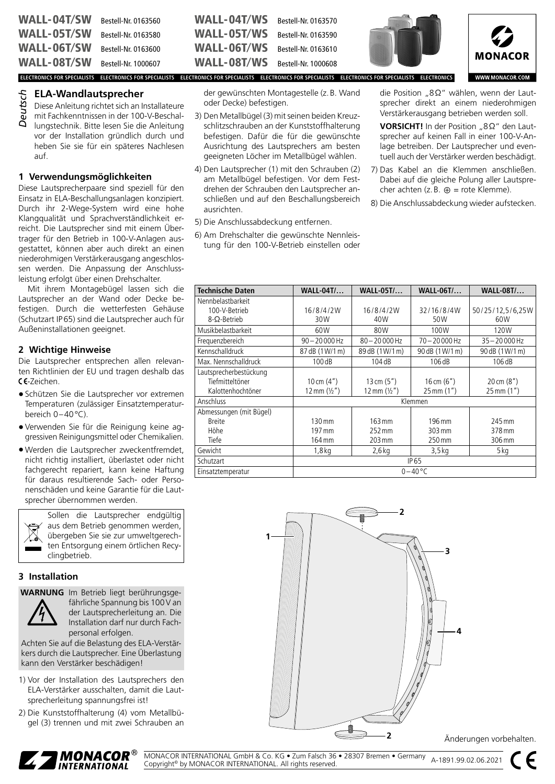| <b>WALL-04T/SW</b> Bestell-Nr. 0163560 |                     | WALL-04T/WS                                                                                                                                 | Bestell-Nr. 0163570 |  |
|----------------------------------------|---------------------|---------------------------------------------------------------------------------------------------------------------------------------------|---------------------|--|
| <b>WALL-05T/SW</b> Bestell-Nr. 0163580 |                     | WALL-05T/WS                                                                                                                                 | Bestell-Nr. 0163590 |  |
| <b>WALL-06T/SW</b>                     | Bestell-Nr. 0163600 | WALL-06T/WS                                                                                                                                 | Bestell-Nr. 0163610 |  |
| <b>WALL-08T/SW</b> Bestell-Nr. 1000607 |                     | WALL-08T/WS                                                                                                                                 | Bestell-Nr. 1000608 |  |
|                                        |                     | ELECTRONICS FOR SPECIALISTS ELECTRONICS FOR SPECIALISTS ELECTRONICS FOR SPECIALISTS ELECTRONICS FOR SPECIALISTS ELECTRONICS FOR SPECIALISTS |                     |  |

## **ELA-Wandlautsprecher**

Diese Anleitung richtet sich an Installateure mit Fachkenntnissen in der 100-V-Beschallungstechnik. Bitte lesen Sie die Anleitung vor der Installation gründlich durch und heben Sie sie für ein späteres Nachlesen *Deutsch*

**1 Verwendungsmöglichkeiten**

auf.

Diese Lautsprecherpaare sind speziell für den Einsatz in ELA-Beschallungsanlagen konzipiert. Durch ihr 2-Wege-System wird eine hohe Klangqualität und Sprachverständlichkeit erreicht. Die Lautsprecher sind mit einem Übertrager für den Betrieb in 100-V-Anlagen ausgestattet, können aber auch direkt an einen niederohmigen Verstärkerausgang angeschlossen werden. Die Anpassung der Anschlussleistung erfolgt über einen Drehschalter.

Mit ihrem Montagebügel lassen sich die Lautsprecher an der Wand oder Decke befestigen. Durch die wetterfesten Gehäuse (Schutzart IP65) sind die Lautsprecher auch für Außeninstallationen geeignet.

### **2 Wichtige Hinweise**

Die Lautsprecher entsprechen allen relevanten Richtlinien der EU und tragen deshalb das CE-Zeichen.

- Schützen Sie die Lautsprecher vor extremen Temperaturen (zulässiger Einsatztemperaturbereich 0–40°C).
- Verwenden Sie für die Reinigung keine aggressiven Reinigungsmittel oder Chemikalien.
- Werden die Lautsprecher zweckentfremdet, nicht richtig installiert, überlastet oder nicht fachgerecht repariert, kann keine Haftung für daraus resultierende Sach- oder Personenschäden und keine Garantie für die Lautsprecher übernommen werden.



Sollen die Lautsprecher endgültig aus dem Betrieb genommen werden, übergeben Sie sie zur umweltgerechten Entsorgung einem örtlichen Recyclingbetrieb.

## **3 Installation**

**WARNUNG** Im Betrieb liegt berührungsge-



fährliche Spannung bis 100V an der Lautsprecherleitung an. Die Installation darf nur durch Fachpersonal erfolgen.

Achten Sie auf die Belastung des ELA-Verstärkers durch die Lautsprecher. Eine Überlastung kann den Verstärker beschädigen!

- 1) Vor der Installation des Lautsprechers den ELA-Verstärker ausschalten, damit die Lautsprecherleitung spannungsfrei ist!
- 2) Die Kunststoffhalterung (4) vom Metallbügel (3) trennen und mit zwei Schrauben an

der gewünschten Montagestelle (z.B. Wand oder Decke) befestigen.

- 3) Den Metallbügel (3) mit seinen beiden Kreuzschlitzschrauben an der Kunststoffhalterung befestigen. Dafür die für die gewünschte Ausrichtung des Lautsprechers am besten geeigneten Löcher im Metallbügel wählen.
- 4) Den Lautsprecher (1) mit den Schrauben (2) am Metallbügel befestigen. Vor dem Festdrehen der Schrauben den Lautsprecher anschließen und auf den Beschallungsbereich ausrichten.
- 5) Die Anschlussabdeckung entfernen.
- 6) Am Drehschalter die gewünschte Nennleistung für den 100-V-Betrieb einstellen oder



die Position "8Ω" wählen, wenn der Lautsprecher direkt an einem niederohmigen Verstärkerausgang betrieben werden soll.

**VORSICHT!** In der Position "8Ω" den Lautsprecher auf keinen Fall in einer 100-V-Anlage betreiben. Der Lautsprecher und eventuell auch der Verstärker werden beschädigt.

7) Das Kabel an die Klemmen anschließen. Dabei auf die gleiche Polung aller Lautsprecher achten (z. B.  $\oplus$  = rote Klemme).

8) Die Anschlussabdeckung wieder aufstecken.

| <b>Technische Daten</b> | <b>WALL-04T/</b>      | <b>WALL-05T/</b>      | <b>WALL-06T/</b>       | <b>WALL-08T/</b>        |
|-------------------------|-----------------------|-----------------------|------------------------|-------------------------|
| Nennbelastbarkeit       |                       |                       |                        |                         |
| 100-V-Betrieb           | 16/8/4/2W             | 16/8/4/2W             | 32/16/8/4W             | 50/25/12,5/6,25W        |
| $8 - \Omega$ -Betrieb   | 30W                   | 40W                   | 50W                    | 60W                     |
| Musikbelastbarkeit      | 60W                   | 80W                   | 100W                   | 120W                    |
| Frequenzbereich         | $90 - 20000$ Hz       | $80 - 20000$ Hz       | $70 - 20000$ Hz        | $35 - 20000$ Hz         |
| Kennschalldruck         | 87 dB (1W/1 m)        | 89 dB (1W/1 m)        | 90 dB (1W/1 m)         | 90 dB (1 W/1 m)         |
| Max. Nennschalldruck    | 100dB                 | 104dB                 | 106dB                  | 106dB                   |
| Lautsprecherbestückung  |                       |                       |                        |                         |
| Tiefmitteltöner         | 10 cm $(4")$          | 13 cm $(5")$          | 16 cm $(6")$           | $20 \text{ cm } (8")$   |
| Kalottenhochtöner       | 12 mm $(\frac{1}{2})$ | 12 mm $(\frac{1}{2})$ | $25 \, \text{mm}$ (1") | $25 \,\mathrm{mm}$ (1") |
| Anschluss               |                       |                       | Klemmen                |                         |
| Abmessungen (mit Bügel) |                       |                       |                        |                         |
| <b>Breite</b>           | 130 mm                | 163 mm                | 196 mm                 | 245 mm                  |
| Höhe                    | 197 mm                | 252 mm                | $303 \,\mathrm{mm}$    | 378 mm                  |
| Tiefe                   | 164 mm                | 203 mm                | 250 mm                 | 306 mm                  |
| Gewicht                 | 1,8 kg                | 2,6 kg                | 3,5 kg                 | 5 kg                    |
| Schutzart               | IP 65                 |                       |                        |                         |
| Einsatztemperatur       | $0 - 40$ °C           |                       |                        |                         |



Änderungen vorbehalten.



MONACOR INTERNATIONAL GmbH & Co. KG • Zum Falsch 36 • 28307 Bremen • Germany MONACOR INTERNATIONAL GMDH & CO. KG ● Zum Falsch 36 ● 28307 Bremen ● Germany<br>Copyright® by MONACOR INTERNATIONAL. All rights reserved.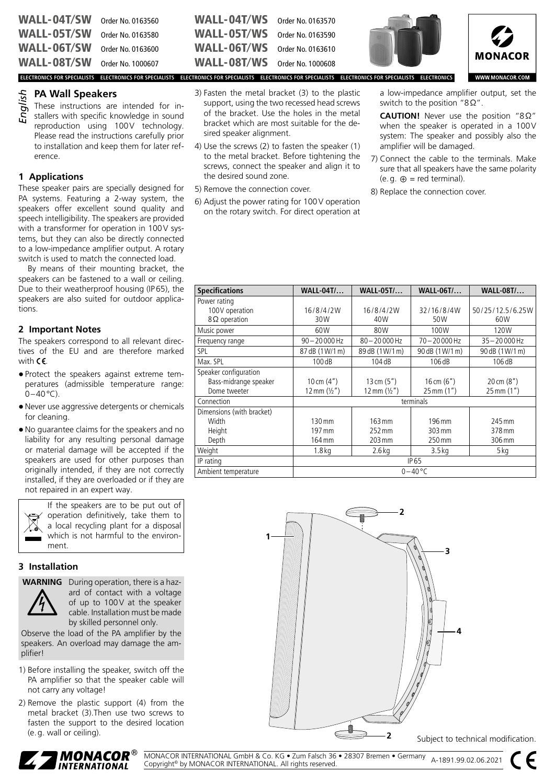| <b>WALL-04T/SW</b> | Order No. 0163560 |
|--------------------|-------------------|
| <b>WALL-05T/SW</b> | Order No. 0163580 |
| <b>WALL-06T/SW</b> | Order No. 0163600 |
| <b>WALL-08T/SW</b> | Order No. 1000607 |

#### **PA Wall Speakers**

These instructions are intended for installers with specific knowledge in sound reproduction using 100V technology. Please read the instructions carefully prior to installation and keep them for later reference. *English*

## **1 Applications**

These speaker pairs are specially designed for PA systems. Featuring a 2-way system, the speakers offer excellent sound quality and speech intelligibility. The speakers are provided with a transformer for operation in 100V systems, but they can also be directly connected to a low-impedance amplifier output. A rotary switch is used to match the connected load.

By means of their mounting bracket, the speakers can be fastened to a wall or ceiling. Due to their weatherproof housing (IP65), the speakers are also suited for outdoor applications.

### **2 Important Notes**

The speakers correspond to all relevant directives of the EU and are therefore marked with  $C\epsilon$ .

- Protect the speakers against extreme temperatures (admissible temperature range:  $0-40$ °C).
- Never use aggressive detergents or chemicals for cleaning.
- No guarantee claims for the speakers and no liability for any resulting personal damage or material damage will be accepted if the speakers are used for other purposes than originally intended, if they are not correctly installed, if they are overloaded or if they are not repaired in an expert way.



If the speakers are to be put out of operation definitively, take them to a local recycling plant for a disposal which is not harmful to the environment.

## **3 Installation**



**WARNING** During operation, there is a hazard of contact with a voltage of up to 100V at the speaker cable. Installation must be made by skilled personnel only.

Observe the load of the PA amplifier by the speakers. An overload may damage the amplifier!

- 1) Before installing the speaker, switch off the PA amplifier so that the speaker cable will not carry any voltage!
- 2) Remove the plastic support (4) from the metal bracket (3).Then use two screws to fasten the support to the desired location (e.g. wall or ceiling).

| WALL-04T/WS Order No. 0163570        |  |
|--------------------------------------|--|
| <b>WALL-05T/WS</b> Order No. 0163590 |  |
| <b>WALL-06T/WS</b> Order No. 0163610 |  |
| <b>WALL-08T/WS</b> Order No. 1000608 |  |

3) Fasten the metal bracket (3) to the plastic support, using the two recessed head screws of the bracket. Use the holes in the metal bracket which are most suitable for the de-

4) Use the screws (2) to fasten the speaker (1) to the metal bracket. Before tightening the screws, connect the speaker and align it to

6) Adjust the power rating for 100V operation on the rotary switch. For direct operation at

sired speaker alignment.

the desired sound zone. 5) Remove the connection cover.





**WWW.MONACOR.COM** 

**ELECTRONICS FOR SPECIALISTS ELECTRONICS FOR SPECIALISTS ELECTRONICS FOR SPECIALISTS ELECTRONICS FOR SPECIALISTS ELECTRONICS FOR SPECIALISTS ELECTRONICS**

a low-impedance amplifier output, set the switch to the position "8Ω".

**CAUTION!** Never use the position "8Ω" when the speaker is operated in a 100V system: The speaker and possibly also the amplifier will be damaged.

- 7) Connect the cable to the terminals. Make sure that all speakers have the same polarity  $(e.g. \oplus = red \ terminal).$
- 8) Replace the connection cover.

| <b>Specifications</b>     | <b>WALL-04T/</b>      | <b>WALL-05T/</b>      | <b>WALL-06T/</b>  | <b>WALL-08T/</b>        |
|---------------------------|-----------------------|-----------------------|-------------------|-------------------------|
| Power rating              |                       |                       |                   |                         |
| 100V operation            | 16/8/4/2W             | 16/8/4/2W             | 32/16/8/4W        | 50/25/12.5/6.25W        |
| $8\Omega$ operation       | 30W                   | 40W                   | 50W               | 60W                     |
| Music power               | 60W                   | 80W                   | 100W              | 120W                    |
| Frequency range           | $90 - 20000$ Hz       | $80 - 20000$ Hz       | $70 - 20000$ Hz   | $35 - 20000$ Hz         |
| <b>SPL</b>                | 87 dB (1 W/1 m)       | 89 dB (1W/1 m)        | 90 dB (1W/1 m)    | 90 dB (1 W/1 m)         |
| Max. SPL                  | 100dB                 | 104dB                 | 106dB             | 106dB                   |
| Speaker configuration     |                       |                       |                   |                         |
| Bass-midrange speaker     | 10 cm $(4")$          | 13 cm $(5")$          | 16 cm $(6")$      | $20 \text{ cm } (8")$   |
| Dome tweeter              | 12 mm $(\frac{1}{2})$ | 12 mm $(\frac{1}{2})$ | 25 mm (1")        | $25 \,\mathrm{mm}$ (1") |
| Connection                |                       |                       | terminals         |                         |
| Dimensions (with bracket) |                       |                       |                   |                         |
| Width                     | 130 mm                | $163 \text{ mm}$      | 196 mm            | 245 mm                  |
| Height                    | 197 mm                | 252 mm                | 303 mm            | 378 mm                  |
| Depth                     | 164 mm                | 203 mm                | 250 mm            | 306 mm                  |
| Weight                    | 1.8 <sub>kq</sub>     | $2.6$ kg              | 3.5 <sub>kq</sub> | 5 kg                    |
| IP rating                 |                       |                       | <b>IP65</b>       |                         |
| Ambient temperature       |                       |                       | $0 - 40$ °C       |                         |



Subject to technical modification.



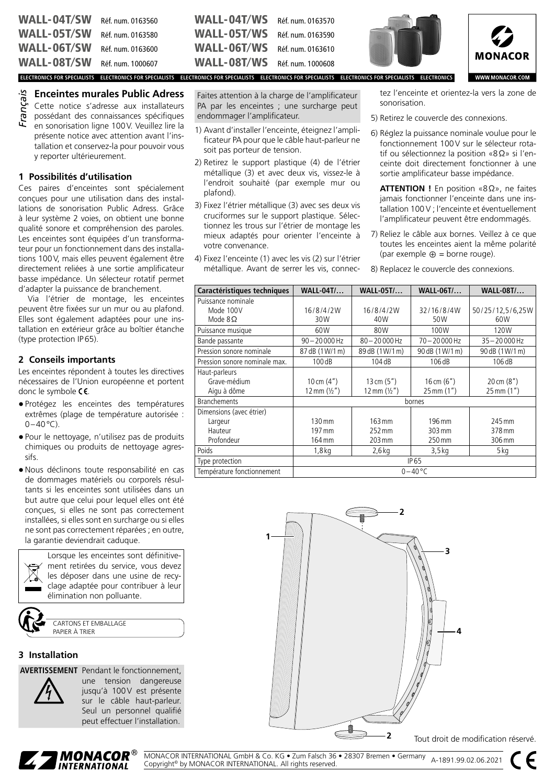| <b>WALL-04T/SW</b> | Réf. num. 0163560 |
|--------------------|-------------------|
| <b>WALL-05T/SW</b> | Réf. num. 0163580 |
| <b>WALL-06T/SW</b> | Réf. num. 0163600 |
| <b>WALL-08T/SW</b> | Réf. num. 1000607 |

### **Enceintes murales Public Adress**

Cette notice s'adresse aux installateurs possédant des connaissances spécifiques en sonorisation ligne 100V. Veuillez lire la présente notice avec attention avant l'installation et conservez-la pour pouvoir vous y reporter ultérieurement. *Français*

#### **1 Possibilités d'utilisation**

Ces paires d'enceintes sont spécialement conçues pour une utilisation dans des installations de sonorisation Public Adress. Grâce à leur système 2 voies, on obtient une bonne qualité sonore et compréhension des paroles. Les enceintes sont équipées d'un transformateur pour un fonctionnement dans des installations 100V, mais elles peuvent également être directement reliées à une sortie amplificateur basse impédance. Un sélecteur rotatif permet d'adapter la puissance de branchement.

Via l'étrier de montage, les enceintes peuvent être fixées sur un mur ou au plafond. Elles sont également adaptées pour une installation en extérieur grâce au boîtier étanche (type protection IP65).

#### **2 Conseils importants**

Les enceintes répondent à toutes les directives nécessaires de l'Union européenne et portent donc le symbole CE.

- Protégez les enceintes des températures extrêmes (plage de température autorisée :  $0-40$ °C).
- Pour le nettoyage, n'utilisez pas de produits chimiques ou produits de nettoyage agressifs.
- Nous déclinons toute responsabilité en cas de dommages matériels ou corporels résultants si les enceintes sont utilisées dans un but autre que celui pour lequel elles ont été conçues, si elles ne sont pas correctement installées, si elles sont en surcharge ou si elles ne sont pas correctement réparées ; en outre, la garantie deviendrait caduque.

Lorsque les enceintes sont définitivement retirées du service, vous devez les déposer dans une usine de recyclage adaptée pour contribuer à leur élimination non polluante.

CARTONS ET EMBALLAGE PAPIER À TRIER

#### **3 Installation**

**AVERTISSEMENT** Pendant le fonctionnement,



une tension dangereuse jusqu'à 100V est présente sur le câble haut-parleur. Seul un personnel qualifié peut effectuer l'installation.

Faites attention à la charge de l'amplificateur PA par les enceintes ; une surcharge peut endommager l'amplificateur.

WALL-04T/WS Réf. num. 0163570 WALL-05T/WS Réf. num. 0163590 WALL-06T/WS Réf. num. 0163610 WALL-08T/WS Réf. num. 1000608

- 1) Avant d'installer l'enceinte, éteignez l'amplificateur PA pour que le câble haut-parleur ne soit pas porteur de tension.
- 2) Retirez le support plastique (4) de l'étrier métallique (3) et avec deux vis, vissez-le à l'endroit souhaité (par exemple mur ou plafond).
- 3) Fixez l'étrier métallique (3) avec ses deux vis cruciformes sur le support plastique. Sélectionnez les trous sur l'étrier de montage les mieux adaptés pour orienter l'enceinte à votre convenance.
- 4) Fixez l'enceinte (1) avec les vis (2) sur l'étrier métallique. Avant de serrer les vis, connec-





WWW.MONACOR.COM

**ELECTRONICS FOR SPECIALISTS ELECTRONICS FOR SPECIALISTS ELECTRONICS FOR SPECIALISTS ELECTRONICS FOR SPECIALISTS ELECTRONICS FOR SPECIALISTS ELECTRONICS**

tez l'enceinte et orientez-la vers la zone de sonorisation.

- 5) Retirez le couvercle des connexions.
- 6) Réglez la puissance nominale voulue pour le fonctionnement 100V sur le sélecteur rotatif ou sélectionnez la position «8Ω» si l'enceinte doit directement fonctionner à une sortie amplificateur basse impédance.

**ATTENTION !** En position «8Ω», ne faites jamais fonctionner l'enceinte dans une installation 100 V ; l'enceinte et éventuellement l'amplificateur peuvent être endommagés.

- 7) Reliez le câble aux bornes. Veillez à ce que toutes les enceintes aient la même polarité (par exemple  $\oplus$  = borne rouge).
- 8) Replacez le couvercle des connexions.

| Caractéristiques techniques   | <b>WALL-04T/</b>      | <b>WALL-05T/</b>      | <b>WALL-06T/</b>        | <b>WALL-08T/</b>        |  |
|-------------------------------|-----------------------|-----------------------|-------------------------|-------------------------|--|
| Puissance nominale            |                       |                       |                         |                         |  |
| Mode 100V                     | 16/8/4/2W             | 16/8/4/2W             | 32/16/8/4W              | 50/25/12,5/6,25W        |  |
| Mode $8\Omega$                | 30W                   | 40W                   | 50W                     | 60W                     |  |
| Puissance musique             | 60W                   | 80W                   | 100W                    | 120W                    |  |
| Bande passante                | $90 - 20000$ Hz       | $80 - 20000$ Hz       | 70-20000 Hz             | $35 - 20000$ Hz         |  |
| Pression sonore nominale      | 87 dB (1W/1 m)        | 89 dB (1W/1 m)        | 90 dB (1W/1 m)          | 90 dB (1 W/1 m)         |  |
| Pression sonore nominale max. | 100dB                 | 104dB                 | 106dB                   | 106dB                   |  |
| Haut-parleurs                 |                       |                       |                         |                         |  |
| Grave-médium                  | 10 cm $(4")$          | 13 cm $(5")$          | $16 \text{ cm } (6")$   | $20 \text{ cm } (8")$   |  |
| Aigu à dôme                   | 12 mm $(\frac{1}{2})$ | 12 mm $(\frac{1}{2})$ | $25 \,\mathrm{mm}$ (1") | $25 \,\mathrm{mm}$ (1") |  |
| <b>Branchements</b>           | bornes                |                       |                         |                         |  |
| Dimensions (avec étrier)      |                       |                       |                         |                         |  |
| Largeur                       | $130 \,\mathrm{mm}$   | 163 mm                | 196 mm                  | 245 mm                  |  |
| Hauteur                       | 197 mm                | 252 mm                | 303 mm                  | 378 mm                  |  |
| Profondeur                    | 164 mm                | 203 mm                | 250 mm                  | 306 mm                  |  |
| Poids                         | $1,8$ kg              | $2,6$ kg              | 3,5 kg                  | $5$ kg                  |  |
| Type protection               | IP 65                 |                       |                         |                         |  |
| Température fonctionnement    | $0 - 40$ °C           |                       |                         |                         |  |



Tout droit de modification réservé

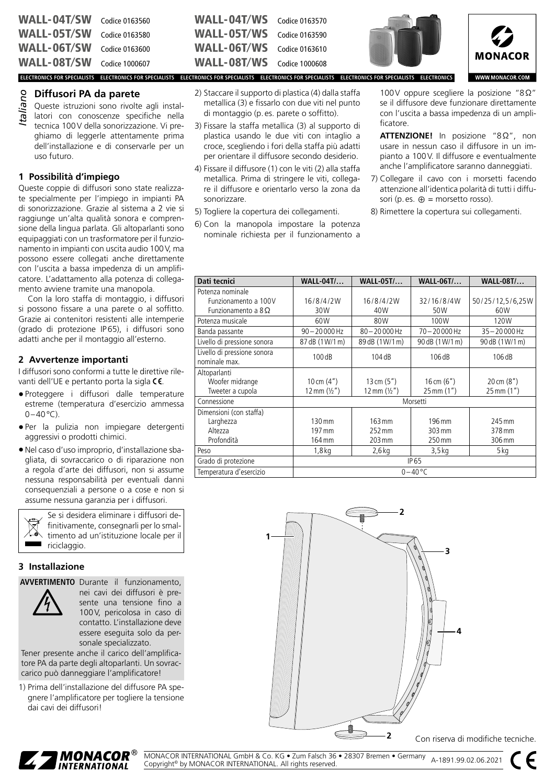WALL-04T/SW Codice 0163560 WALL-05T/SW Codice 0163580 WALL-06T/SW Codice 0163600 WALL-08T/SW Codice 1000607

### **Diffusori PA da parete**

Queste istruzioni sono rivolte agli installatori con conoscenze specifiche nella tecnica 100V della sonorizzazione. Vi preghiamo di leggerle attentamente prima dell'installazione e di conservarle per un uso futuro. *Italiano*

#### **1 Possibilità d'impiego**

Queste coppie di diffusori sono state realizzate specialmente per l'impiego in impianti PA di sonorizzazione. Grazie al sistema a 2 vie si raggiunge un'alta qualità sonora e comprensione della lingua parlata. Gli altoparlanti sono equipaggiati con un trasformatore per il funzionamento in impianti con uscita audio 100V, ma possono essere collegati anche direttamente con l'uscita a bassa impedenza di un amplificatore. L'adattamento alla potenza di collegamento avviene tramite una manopola.

Con la loro staffa di montaggio, i diffusori si possono fissare a una parete o al soffitto. Grazie ai contenitori resistenti alle intemperie (grado di protezione IP65), i diffusori sono adatti anche per il montaggio all'esterno.

### **2 Avvertenze importanti**

I diffusori sono conformi a tutte le direttive rilevanti dell'UE e pertanto porta la sigla CE.

- Proteggere i diffusori dalle temperature estreme (temperatura d'esercizio ammessa  $0-40$ °C).
- Per la pulizia non impiegare detergenti aggressivi o prodotti chimici.
- Nel caso d'uso improprio, d'installazione sbagliata, di sovraccarico o di riparazione non a regola d'arte dei diffusori, non si assume nessuna responsabilità per eventuali danni consequenziali a persone o a cose e non si assume nessuna garanzia per i diffusori.

Se si desidera eliminare i diffusori definitivamente, consegnarli per lo smaltimento ad un'istituzione locale per il riciclaggio.

#### **3 Installazione**

**AVVERTIMENTO** Durante il funzionamento,



nei cavi dei diffusori è presente una tensione fino a 100V, pericolosa in caso di contatto. L'installazione deve essere eseguita solo da personale specializzato.

Tener presente anche il carico dell'amplificatore PA da parte degli altoparlanti. Un sovraccarico può danneggiare l'amplificatore!

1) Prima dell'installazione del diffusore PA spegnere l'amplificatore per togliere la tensione dai cavi dei diffusori!

| <b>WALL-04T/WS</b> Codice 0163570 |  |
|-----------------------------------|--|
| <b>WALL-05T/WS</b> Codice 0163590 |  |
| WALL-06T/WS Codice 0163610        |  |
| <b>WALL-08T/WS</b> Codice 1000608 |  |

sonorizzare.

2) Staccare il supporto di plastica (4) dalla staffa metallica (3) e fissarlo con due viti nel punto di montaggio (p. es. parete o soffitto). 3) Fissare la staffa metallica (3) al supporto di plastica usando le due viti con intaglio a croce, scegliendo i fori della staffa più adatti per orientare il diffusore secondo desiderio. 4) Fissare il diffusore (1) con le viti (2) alla staffa metallica. Prima di stringere le viti, collegare il diffusore e orientarlo verso la zona da

5) Togliere la copertura dei collegamenti. 6) Con la manopola impostare la potenza nominale richiesta per il funzionamento a



**ELECTRONICS FOR SPECIALISTS ELECTRONICS FOR SPECIALISTS ELECTRONICS FOR SPECIALISTS ELECTRONICS FOR SPECIALISTS ELECTRONICS FOR SPECIALISTS ELECTRONICS**

100V oppure scegliere la posizione "8Ω" se il diffusore deve funzionare direttamente con l'uscita a bassa impedenza di un amplificatore.

- **ATTENZIONE!** In posizione "8Ω", non usare in nessun caso il diffusore in un impianto a 100V. Il diffusore e eventualmente anche l'amplificatore saranno danneggiati.
- 7) Collegare il cavo con i morsetti facendo attenzione all'identica polarità di tutti i diffusori (p. es.  $\oplus$  = morsetto rosso).
- 8) Rimettere la copertura sui collegamenti.

| Dati tecnici                | <b>WALL-04T/</b>      | <b>WALL-05T/</b>      | <b>WALL-06T/</b> | <b>WALL-08T/</b>        |
|-----------------------------|-----------------------|-----------------------|------------------|-------------------------|
| Potenza nominale            |                       |                       |                  |                         |
| Funzionamento a 100V        | 16/8/4/2W             | 16/8/4/2W             | 32/16/8/4W       | 50/25/12,5/6,25W        |
| Funzionamento a $8\Omega$   | 30W                   | 40W                   | 50W              | 60W                     |
| Potenza musicale            | 60W                   | 80W                   | 100W             | 120W                    |
| Banda passante              | $90 - 20000$ Hz       | $80 - 20000$ Hz       | 70-20000 Hz      | $35 - 20000$ Hz         |
| Livello di pressione sonora | 87 dB (1W/1 m)        | 89 dB (1W/1 m)        | 90 dB (1W/1 m)   | 90 dB (1 W/1 m)         |
| Livello di pressione sonora | 100dB                 | 104dB                 | 106dB            | 106dB                   |
| nominale max.               |                       |                       |                  |                         |
| Altoparlanti                |                       |                       |                  |                         |
| Woofer midrange             | 10 cm $(4")$          | 13 cm $(5")$          | 16 cm $(6")$     | $20 \text{ cm } (8")$   |
| Tweeter a cupola            | 12 mm $(\frac{1}{2})$ | 12 mm $(\frac{1}{2})$ | 25 mm (1")       | $25 \,\mathrm{mm}$ (1") |
| Connessione                 |                       |                       | Morsetti         |                         |
| Dimensioni (con staffa)     |                       |                       |                  |                         |
| Larghezza                   | $130 \,\mathrm{mm}$   | 163 mm                | 196 mm           | 245 mm                  |
| Altezza                     | 197 mm                | $252 \,\mathrm{mm}$   | 303 mm           | 378 mm                  |
| Profondità                  | 164 mm                | 203 mm                | 250 mm           | 306 mm                  |
| Peso                        | $1,8$ kg              | $2,6$ kg              | $3,5$ kg         | 5 kg                    |
| Grado di protezione         | <b>IP65</b>           |                       |                  |                         |
| Temperatura d'esercizio     | $0 - 40$ °C           |                       |                  |                         |



Con riserva di modifiche tecniche.



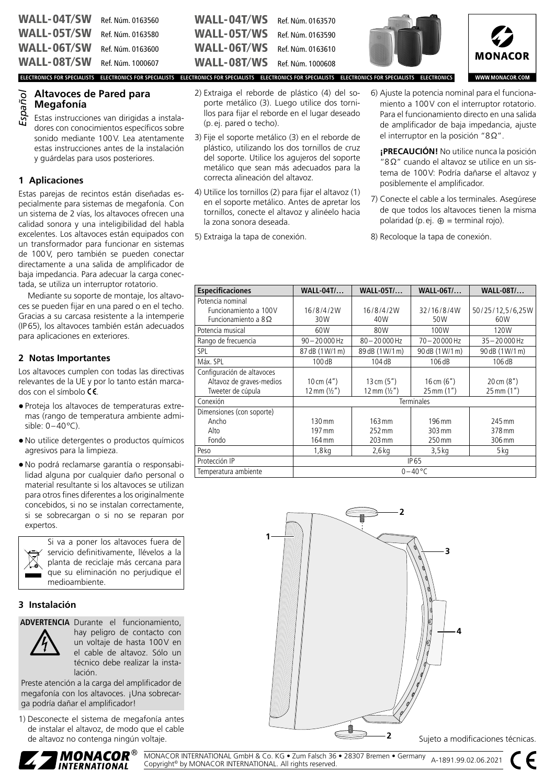# **Altavoces de Pared para Megafonía**

Estas instrucciones van dirigidas a instaladores con conocimientos específicos sobre sonido mediante 100V. Lea atentamente estas instrucciones antes de la instalación y guárdelas para usos posteriores. *Español*

## **1 Aplicaciones**

Estas parejas de recintos están diseñadas especialmente para sistemas de megafonía. Con un sistema de 2 vías, los altavoces ofrecen una calidad sonora y una inteligibilidad del habla excelentes. Los altavoces están equipados con un transformador para funcionar en sistemas de 100V, pero también se pueden conectar directamente a una salida de amplificador de baja impedancia. Para adecuar la carga conectada, se utiliza un interruptor rotatorio.

Mediante su soporte de montaje, los altavoces se pueden fijar en una pared o en el techo. Gracias a su carcasa resistente a la intemperie (IP65), los altavoces también están adecuados para aplicaciones en exteriores.

## **2 Notas Importantes**

Los altavoces cumplen con todas las directivas relevantes de la UE y por lo tanto están marcados con el símbolo  $CE$ .

- Proteja los altavoces de temperaturas extremas (rango de temperatura ambiente admisible: 0–40ºC).
- No utilice detergentes o productos químicos agresivos para la limpieza.
- No podrá reclamarse garantía o responsabilidad alguna por cualquier daño personal o material resultante si los altavoces se utilizan para otros fines diferentes a los originalmente concebidos, si no se instalan correctamente, si se sobrecargan o si no se reparan por expertos.



Si va a poner los altavoces fuera de servicio definitivamente, llévelos a la planta de reciclaje más cercana para que su eliminación no perjudique el medioambiente.

## **3 Instalación**

**ADVERTENCIA** Durante el funcionamiento,



hay peligro de contacto con un voltaje de hasta 100V en el cable de altavoz. Sólo un técnico debe realizar la instalación.

Preste atención a la carga del amplificador de megafonía con los altavoces. ¡Una sobrecarga podría dañar el amplificador!

1) Desconecte el sistema de megafonía antes de instalar el altavoz, de modo que el cable de altavoz no contenga ningún voltaje.

| <b>WALL-04T/SW</b> Ref. Núm. 0163560 | <b>WALL-04T/WS</b> Ref. Núm. 0163570                                                                                                                    |  |  |
|--------------------------------------|---------------------------------------------------------------------------------------------------------------------------------------------------------|--|--|
| <b>WALL-05T/SW</b> Ref. Núm. 0163580 | <b>WALL-05T/WS</b> Ref. Núm. 0163590                                                                                                                    |  |  |
| <b>WALL-06T/SW</b> Ref. Núm. 0163600 | <b>WALL-06T/WS</b> Ref. Núm. 0163610                                                                                                                    |  |  |
| <b>WALL-08T/SW</b> Ref. Núm. 1000607 | <b>WALL-08T/WS</b> Ref. Núm. 1000608                                                                                                                    |  |  |
|                                      | ELECTRONICS FOR SPECIALISTS ELECTRONICS FOR SPECIALISTS ELECTRONICS FOR SPECIALISTS ELECTRONICS FOR SPECIALISTS ELECTRONICS FOR SPECIALISTS ELECTRONICS |  |  |

- 2) Extraiga el reborde de plástico (4) del soporte metálico (3). Luego utilice dos tornillos para fijar el reborde en el lugar deseado (p. ej. pared o techo).
- 3) Fije el soporte metálico (3) en el reborde de plástico, utilizando los dos tornillos de cruz del soporte. Utilice los agujeros del soporte metálico que sean más adecuados para la correcta alineación del altavoz.
- 4) Utilice los tornillos (2) para fijar el altavoz (1) en el soporte metálico. Antes de apretar los tornillos, conecte el altavoz y alinéelo hacia la zona sonora deseada.
- 5) Extraiga la tapa de conexión.





6) Ajuste la potencia nominal para el funcionamiento a 100V con el interruptor rotatorio. Para el funcionamiento directo en una salida de amplificador de baja impedancia, ajuste

el interruptor en la posición "8Ω".

**¡PRECAUCIÓN!** No utilice nunca la posición "8Ω" cuando el altavoz se utilice en un sistema de 100V: Podría dañarse el altavoz y posiblemente el amplificador.

- 7) Conecte el cable a los terminales. Asegúrese de que todos los altavoces tienen la misma polaridad (p.ej.  $\oplus$  = terminal rojo).
- 8) Recoloque la tapa de conexión.

| <b>Especificaciones</b>    | <b>WALL-04T/</b>      | <b>WALL-05T/</b>      | <b>WALL-06T/</b>        | <b>WALL-08T/</b>       |  |
|----------------------------|-----------------------|-----------------------|-------------------------|------------------------|--|
| Potencia nominal           |                       |                       |                         |                        |  |
| Funcionamiento a 100V      | 16/8/4/2W             | 16/8/4/2W             | 32/16/8/4W              | 50/25/12,5/6,25W       |  |
| Funcionamiento a $8$ Ω     | 30W                   | 40W                   | 50W                     | 60W                    |  |
| Potencia musical           | 60W                   | 80W                   | 100W                    | 120W                   |  |
| Rango de frecuencia        | $90 - 20000$ Hz       | $80 - 20000$ Hz       | 70-20000 Hz             | $35 - 20000$ Hz        |  |
| SPL                        | 87 dB (1W/1 m)        | 89 dB (1W/1 m)        | 90 dB (1W/1 m)          | 90 dB (1 W/1 m)        |  |
| Máx. SPL                   | 100dB                 | 104dB                 | 106dB                   | 106dB                  |  |
| Configuración de altavoces |                       |                       |                         |                        |  |
| Altavoz de graves-medios   | 10 cm $(4")$          | 13 cm $(5")$          | 16 cm $(6")$            | 20 cm (8")             |  |
| Tweeter de cúpula          | 12 mm $(\frac{1}{2})$ | 12 mm $(\frac{1}{2})$ | $25 \,\mathrm{mm}$ (1") | $25 \, \text{mm}$ (1") |  |
| Conexión                   | <b>Terminales</b>     |                       |                         |                        |  |
| Dimensiones (con soporte)  |                       |                       |                         |                        |  |
| Ancho                      | 130 mm                | 163 mm                | 196 mm                  | 245 mm                 |  |
| Alto                       | 197 mm                | 252 mm                | 303 mm                  | 378 mm                 |  |
| Fondo                      | 164 mm                | 203 mm                | 250 mm                  | 306 mm                 |  |
| Peso                       | $1,8$ kg              | 2,6 kg                | 3,5 kg                  | 5 kg                   |  |
| Protección IP              | IP 65                 |                       |                         |                        |  |
| Temperatura ambiente       |                       |                       | $0 - 40$ °C             |                        |  |



Sujeto a modificaciones técnicas.